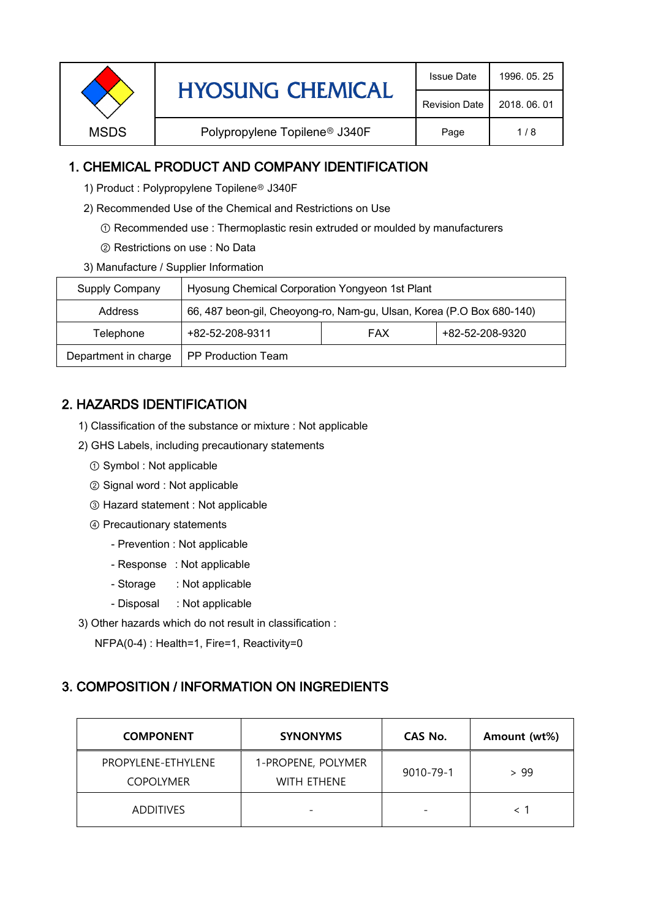| <b>HYOSUNG CHEMICAL</b><br><b>Revision Date</b>                  |              |
|------------------------------------------------------------------|--------------|
|                                                                  | 2018, 06, 01 |
| <b>MSDS</b><br>Polypropylene Topilene <sup>®</sup> J340F<br>Page | 1/8          |

### 1. CHEMICAL PRODUCT AND COMPANY IDENTIFICATION

- 1) Product : Polypropylene Topilene<sup>®</sup> J340F
- 2) Recommended Use of the Chemical and Restrictions on Use
	- ① Recommended use : Thermoplastic resin extruded or moulded by manufacturers
	- ② Restrictions on use : No Data
- 3) Manufacture / Supplier Information

| Supply Company       | Hyosung Chemical Corporation Yongyeon 1st Plant                       |  |  |  |
|----------------------|-----------------------------------------------------------------------|--|--|--|
| Address              | 66, 487 beon-gil, Cheoyong-ro, Nam-gu, Ulsan, Korea (P.O Box 680-140) |  |  |  |
| Telephone            | +82-52-208-9320<br>+82-52-208-9311<br><b>FAX</b>                      |  |  |  |
| Department in charge | <b>PP Production Team</b>                                             |  |  |  |

# 2. HAZARDS IDENTIFICATION

- 1) Classification of the substance or mixture : Not applicable
- 2) GHS Labels, including precautionary statements
	- ① Symbol : Not applicable
	- ② Signal word : Not applicable
	- ③ Hazard statement : Not applicable
	- ④ Precautionary statements
		- Prevention : Not applicable
		- Response : Not applicable
		- Storage : Not applicable
		- Disposal : Not applicable
- 3) Other hazards which do not result in classification :

NFPA(0-4) : Health=1, Fire=1, Reactivity=0

#### 3. COMPOSITION / INFORMATION ON INGREDIENTS

| <b>COMPONENT</b>                       | <b>SYNONYMS</b>                          | CAS No.                  | Amount (wt%) |
|----------------------------------------|------------------------------------------|--------------------------|--------------|
| PROPYLENE-ETHYLENE<br><b>COPOLYMER</b> | 1-PROPENE, POLYMER<br><b>WITH ETHENE</b> | 9010-79-1                | > 99         |
| <b>ADDITIVES</b>                       |                                          | $\overline{\phantom{0}}$ |              |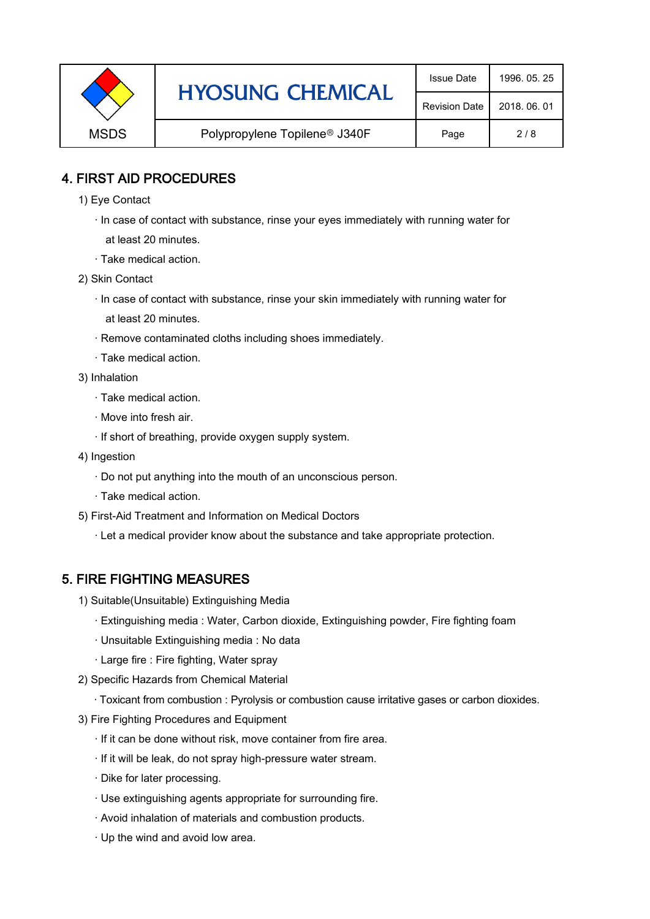|                                                          | <b>HYOSUNG CHEMICAL</b> | <b>Issue Date</b>    | 1996, 05, 25 |
|----------------------------------------------------------|-------------------------|----------------------|--------------|
|                                                          |                         | <b>Revision Date</b> | 2018, 06, 01 |
| <b>MSDS</b><br>Polypropylene Topilene <sup>®</sup> J340F | Page                    | 2/8                  |              |

### 4. FIRST AID PROCEDURES

- 1) Eye Contact
	- · In case of contact with substance, rinse your eyes immediately with running water for at least 20 minutes.
	- · Take medical action.
- 2) Skin Contact
	- · In case of contact with substance, rinse your skin immediately with running water for at least 20 minutes.
	- · Remove contaminated cloths including shoes immediately.
	- · Take medical action.
- 3) Inhalation
	- · Take medical action.
	- · Move into fresh air.
	- · If short of breathing, provide oxygen supply system.
- 4) Ingestion
	- · Do not put anything into the mouth of an unconscious person.
	- · Take medical action.
- 5) First-Aid Treatment and Information on Medical Doctors
	- · Let a medical provider know about the substance and take appropriate protection.

#### 5. FIRE FIGHTING MEASURES

- 1) Suitable(Unsuitable) Extinguishing Media
	- · Extinguishing media : Water, Carbon dioxide, Extinguishing powder, Fire fighting foam
	- · Unsuitable Extinguishing media : No data
	- · Large fire : Fire fighting, Water spray
- 2) Specific Hazards from Chemical Material
	- · Toxicant from combustion : Pyrolysis or combustion cause irritative gases or carbon dioxides.
- 3) Fire Fighting Procedures and Equipment
	- · If it can be done without risk, move container from fire area.
	- · If it will be leak, do not spray high-pressure water stream.
	- · Dike for later processing.
	- · Use extinguishing agents appropriate for surrounding fire.
	- · Avoid inhalation of materials and combustion products.
	- · Up the wind and avoid low area.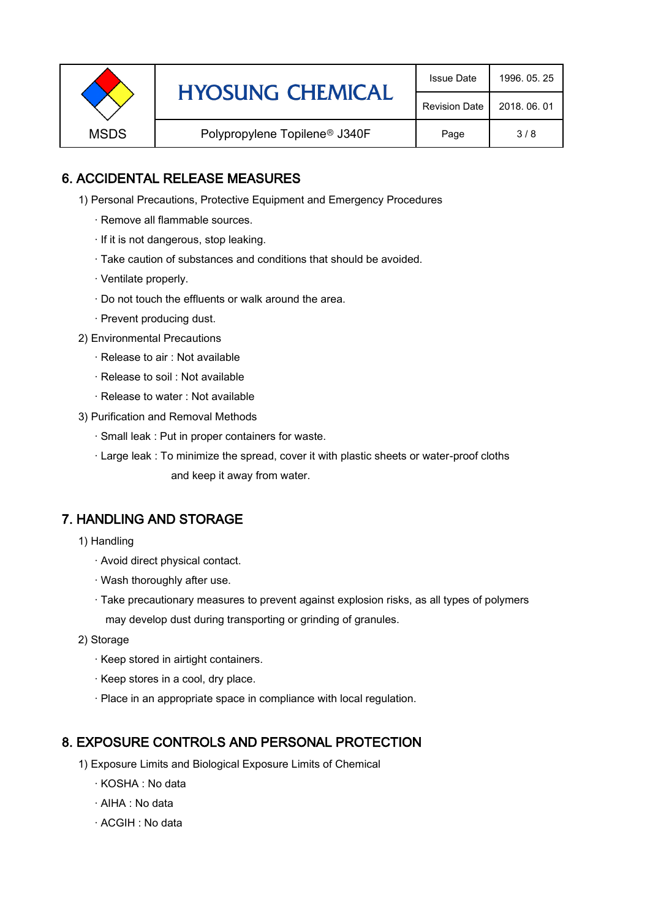|                                                          | <b>HYOSUNG CHEMICAL</b> | <b>Issue Date</b>    | 1996, 05, 25 |
|----------------------------------------------------------|-------------------------|----------------------|--------------|
|                                                          |                         | <b>Revision Date</b> | 2018, 06, 01 |
| <b>MSDS</b><br>Polypropylene Topilene <sup>®</sup> J340F | Page                    | 3/8                  |              |

### 6. ACCIDENTAL RELEASE MEASURES

- 1) Personal Precautions, Protective Equipment and Emergency Procedures
	- · Remove all flammable sources.
	- · If it is not dangerous, stop leaking.
	- · Take caution of substances and conditions that should be avoided.
	- · Ventilate properly.
	- · Do not touch the effluents or walk around the area.
	- · Prevent producing dust.
- 2) Environmental Precautions
	- · Release to air : Not available
	- · Release to soil : Not available
	- · Release to water : Not available
- 3) Purification and Removal Methods
	- · Small leak : Put in proper containers for waste.
	- · Large leak : To minimize the spread, cover it with plastic sheets or water-proof cloths and keep it away from water.

#### 7. HANDLING AND STORAGE

- 1) Handling
	- · Avoid direct physical contact.
	- · Wash thoroughly after use.
	- · Take precautionary measures to prevent against explosion risks, as all types of polymers may develop dust during transporting or grinding of granules.
- 2) Storage
	- · Keep stored in airtight containers.
	- · Keep stores in a cool, dry place.
	- · Place in an appropriate space in compliance with local regulation.

#### 8. EXPOSURE CONTROLS AND PERSONAL PROTECTION

- 1) Exposure Limits and Biological Exposure Limits of Chemical
	- · KOSHA : No data
	- · AIHA : No data
	- · ACGIH : No data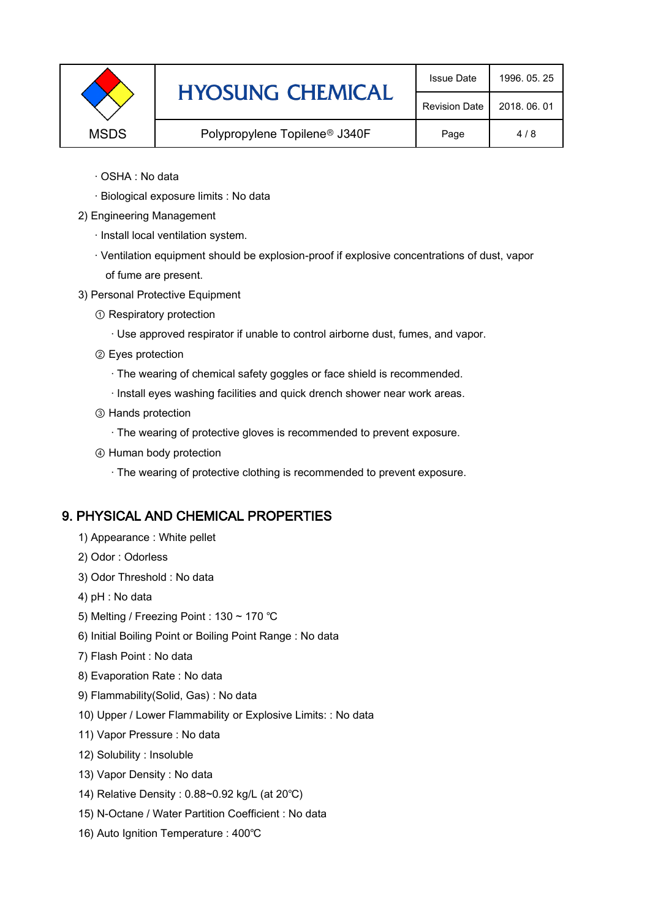|             | <b>HYOSUNG CHEMICAL</b>                   | <b>Issue Date</b>    | 1996, 05, 25 |
|-------------|-------------------------------------------|----------------------|--------------|
|             |                                           | <b>Revision Date</b> | 2018, 06, 01 |
| <b>MSDS</b> | Polypropylene Topilene <sup>®</sup> J340F | Page                 | 4/8          |
|             |                                           |                      |              |

- · OSHA : No data
- · Biological exposure limits : No data
- 2) Engineering Management
	- · Install local ventilation system.
	- · Ventilation equipment should be explosion-proof if explosive concentrations of dust, vapor of fume are present.
- 3) Personal Protective Equipment
	- ① Respiratory protection
		- · Use approved respirator if unable to control airborne dust, fumes, and vapor.
	- ② Eyes protection
		- · The wearing of chemical safety goggles or face shield is recommended.
		- · Install eyes washing facilities and quick drench shower near work areas.
	- ③ Hands protection
		- · The wearing of protective gloves is recommended to prevent exposure.
	- ④ Human body protection
		- · The wearing of protective clothing is recommended to prevent exposure.

#### 9. PHYSICAL AND CHEMICAL PROPERTIES

- 1) Appearance : White pellet
- 2) Odor : Odorless
- 3) Odor Threshold : No data
- 4) pH : No data
- 5) Melting / Freezing Point : 130 ~ 170 ℃
- 6) Initial Boiling Point or Boiling Point Range : No data
- 7) Flash Point : No data
- 8) Evaporation Rate : No data
- 9) Flammability(Solid, Gas) : No data
- 10) Upper / Lower Flammability or Explosive Limits: : No data
- 11) Vapor Pressure : No data
- 12) Solubility : Insoluble
- 13) Vapor Density : No data
- 14) Relative Density : 0.88~0.92 kg/L (at 20℃)
- 15) N-Octane / Water Partition Coefficient : No data
- 16) Auto Ignition Temperature : 400℃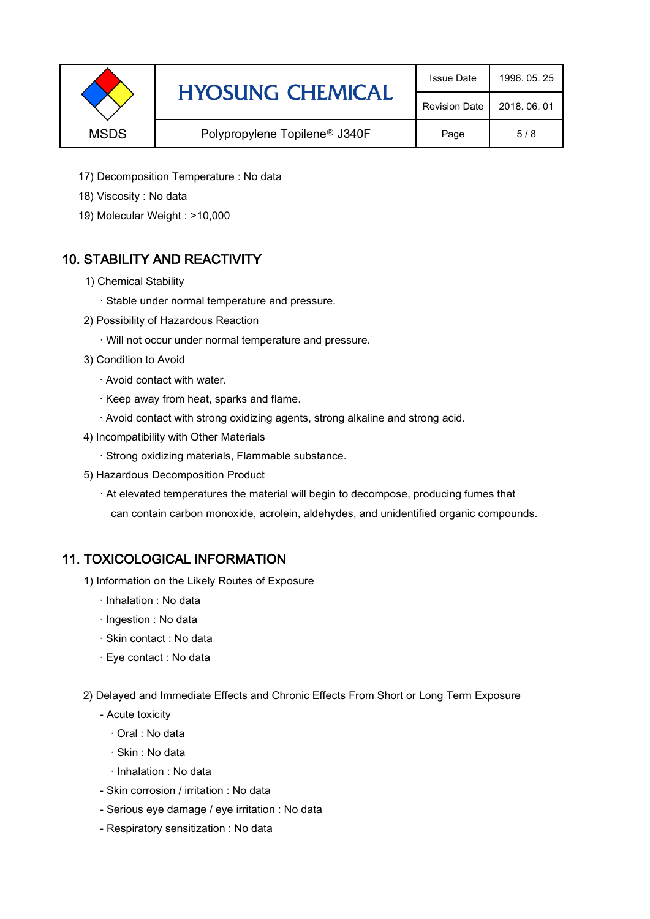|                                                          | <b>HYOSUNG CHEMICAL</b> | <b>Issue Date</b>    | 1996, 05, 25 |
|----------------------------------------------------------|-------------------------|----------------------|--------------|
|                                                          |                         | <b>Revision Date</b> | 2018, 06, 01 |
| <b>MSDS</b><br>Polypropylene Topilene <sup>®</sup> J340F | Page                    | 5/8                  |              |

- 17) Decomposition Temperature : No data
- 18) Viscosity : No data
- 19) Molecular Weight : >10,000

# 10. STABILITY AND REACTIVITY

- 1) Chemical Stability
	- · Stable under normal temperature and pressure.
- 2) Possibility of Hazardous Reaction
	- · Will not occur under normal temperature and pressure.
- 3) Condition to Avoid
	- · Avoid contact with water.
	- · Keep away from heat, sparks and flame.
	- · Avoid contact with strong oxidizing agents, strong alkaline and strong acid.
- 4) Incompatibility with Other Materials
	- · Strong oxidizing materials, Flammable substance.
- 5) Hazardous Decomposition Product
	- · At elevated temperatures the material will begin to decompose, producing fumes that can contain carbon monoxide, acrolein, aldehydes, and unidentified organic compounds.

#### 11. TOXICOLOGICAL INFORMATION

- 1) Information on the Likely Routes of Exposure
	- · Inhalation : No data
	- · Ingestion : No data
	- · Skin contact : No data
	- · Eye contact : No data
- 2) Delayed and Immediate Effects and Chronic Effects From Short or Long Term Exposure
	- Acute toxicity
		- · Oral : No data
		- · Skin : No data
		- · Inhalation : No data
	- Skin corrosion / irritation : No data
	- Serious eye damage / eye irritation : No data
	- Respiratory sensitization : No data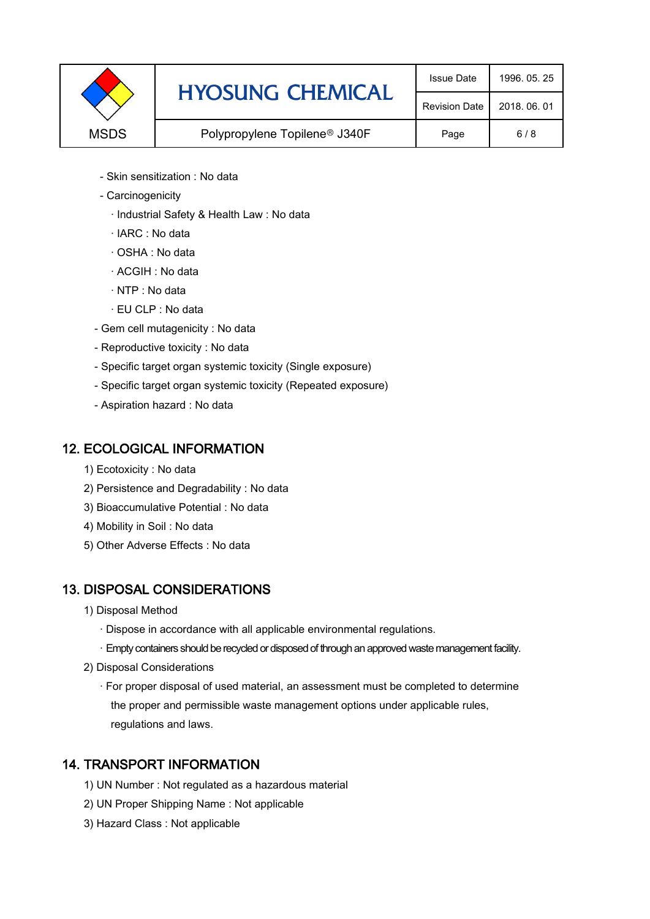|                                                          | <b>HYOSUNG CHEMICAL</b> | <b>Issue Date</b>    | 1996, 05, 25 |
|----------------------------------------------------------|-------------------------|----------------------|--------------|
|                                                          |                         | <b>Revision Date</b> | 2018, 06, 01 |
| <b>MSDS</b><br>Polypropylene Topilene <sup>®</sup> J340F |                         | Page                 | 6/8          |

- Skin sensitization : No data
- Carcinogenicity
	- · Industrial Safety & Health Law : No data
	- · IARC : No data
	- · OSHA : No data
	- · ACGIH : No data
	- · NTP : No data
	- · EU CLP : No data
- Gem cell mutagenicity : No data
- Reproductive toxicity : No data
- Specific target organ systemic toxicity (Single exposure)
- Specific target organ systemic toxicity (Repeated exposure)
- Aspiration hazard : No data

### 12. ECOLOGICAL INFORMATION

- 1) Ecotoxicity : No data
- 2) Persistence and Degradability : No data
- 3) Bioaccumulative Potential : No data
- 4) Mobility in Soil : No data
- 5) Other Adverse Effects : No data

# 13. DISPOSAL CONSIDERATIONS

- 1) Disposal Method
	- · Dispose in accordance with all applicable environmental regulations.
	- · Empty containers should be recycled or disposed of through an approved waste management facility.
- 2) Disposal Considerations
	- · For proper disposal of used material, an assessment must be completed to determine the proper and permissible waste management options under applicable rules, regulations and laws.

#### 14. TRANSPORT INFORMATION

- 1) UN Number : Not regulated as a hazardous material
- 2) UN Proper Shipping Name : Not applicable
- 3) Hazard Class : Not applicable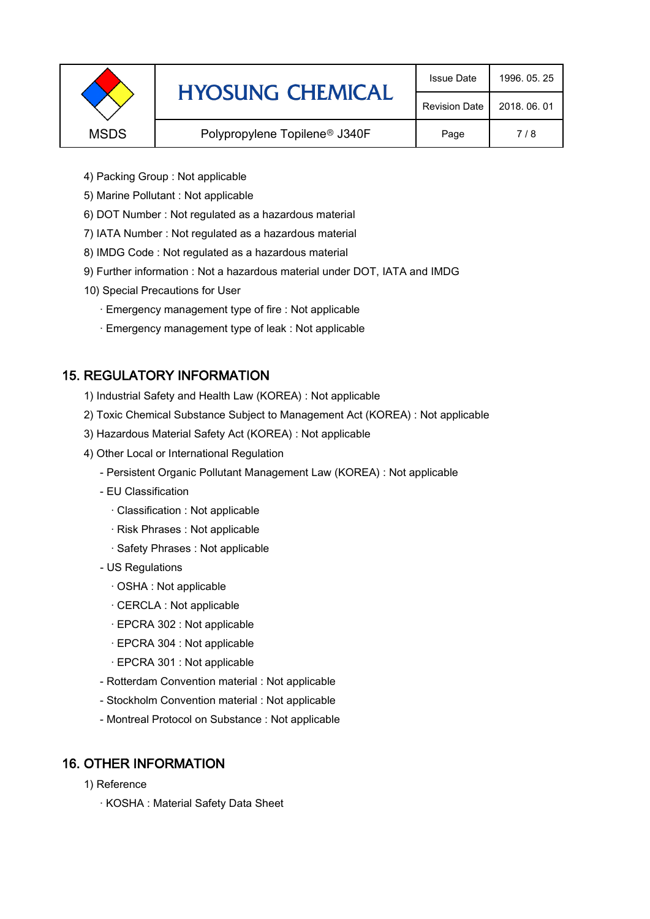|             | <b>HYOSUNG CHEMICAL</b>                   | <b>Issue Date</b>    | 1996, 05, 25 |
|-------------|-------------------------------------------|----------------------|--------------|
|             |                                           | <b>Revision Date</b> | 2018, 06, 01 |
| <b>MSDS</b> | Polypropylene Topilene <sup>®</sup> J340F | Page                 | 7/8          |
|             |                                           |                      |              |

- 4) Packing Group : Not applicable
- 5) Marine Pollutant : Not applicable
- 6) DOT Number : Not regulated as a hazardous material
- 7) IATA Number : Not regulated as a hazardous material
- 8) IMDG Code : Not regulated as a hazardous material
- 9) Further information : Not a hazardous material under DOT, IATA and IMDG
- 10) Special Precautions for User
	- · Emergency management type of fire : Not applicable
	- · Emergency management type of leak : Not applicable

# 15. REGULATORY INFORMATION

- 1) Industrial Safety and Health Law (KOREA) : Not applicable
- 2) Toxic Chemical Substance Subject to Management Act (KOREA) : Not applicable
- 3) Hazardous Material Safety Act (KOREA) : Not applicable
- 4) Other Local or International Regulation
	- Persistent Organic Pollutant Management Law (KOREA) : Not applicable
	- EU Classification
		- · Classification : Not applicable
		- · Risk Phrases : Not applicable
		- · Safety Phrases : Not applicable
	- US Regulations
		- · OSHA : Not applicable
		- · CERCLA : Not applicable
		- · EPCRA 302 : Not applicable
		- · EPCRA 304 : Not applicable
		- · EPCRA 301 : Not applicable
	- Rotterdam Convention material : Not applicable
	- Stockholm Convention material : Not applicable
	- Montreal Protocol on Substance : Not applicable

#### 16. OTHER INFORMATION

- 1) Reference
	- · KOSHA : Material Safety Data Sheet